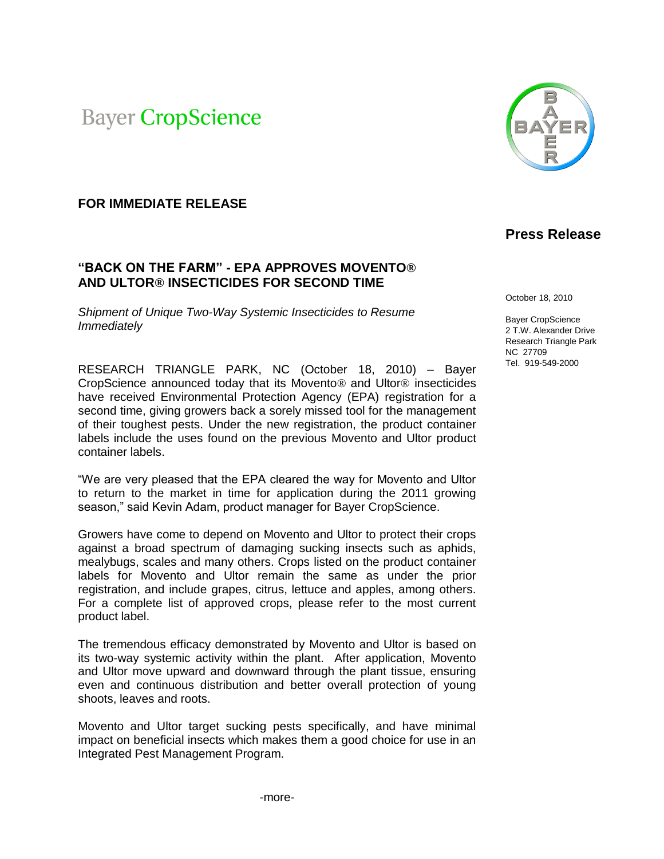**Bayer CropScience** 

# **FOR IMMEDIATE RELEASE**

### **"BACK ON THE FARM" - EPA APPROVES MOVENTO® AND ULTOR® INSECTICIDES FOR SECOND TIME**

*Shipment of Unique Two-Way Systemic Insecticides to Resume Immediately* 

RESEARCH TRIANGLE PARK, NC (October 18, 2010) – Bayer CropScience announced today that its Movento® and Ultor® insecticides have received Environmental Protection Agency (EPA) registration for a second time, giving growers back a sorely missed tool for the management of their toughest pests. Under the new registration, the product container labels include the uses found on the previous Movento and Ultor product container labels.

"We are very pleased that the EPA cleared the way for Movento and Ultor to return to the market in time for application during the 2011 growing season," said Kevin Adam, product manager for Bayer CropScience.

Growers have come to depend on Movento and Ultor to protect their crops against a broad spectrum of damaging sucking insects such as aphids, mealybugs, scales and many others. Crops listed on the product container labels for Movento and Ultor remain the same as under the prior registration, and include grapes, citrus, lettuce and apples, among others. For a complete list of approved crops, please refer to the most current product label.

The tremendous efficacy demonstrated by Movento and Ultor is based on its two-way systemic activity within the plant. After application, Movento and Ultor move upward and downward through the plant tissue, ensuring even and continuous distribution and better overall protection of young shoots, leaves and roots.

Movento and Ultor target sucking pests specifically, and have minimal impact on beneficial insects which makes them a good choice for use in an Integrated Pest Management Program.



# **Press Release**

October 18, 2010

Bayer CropScience 2 T.W. Alexander Drive Research Triangle Park NC 27709 Tel. 919-549-2000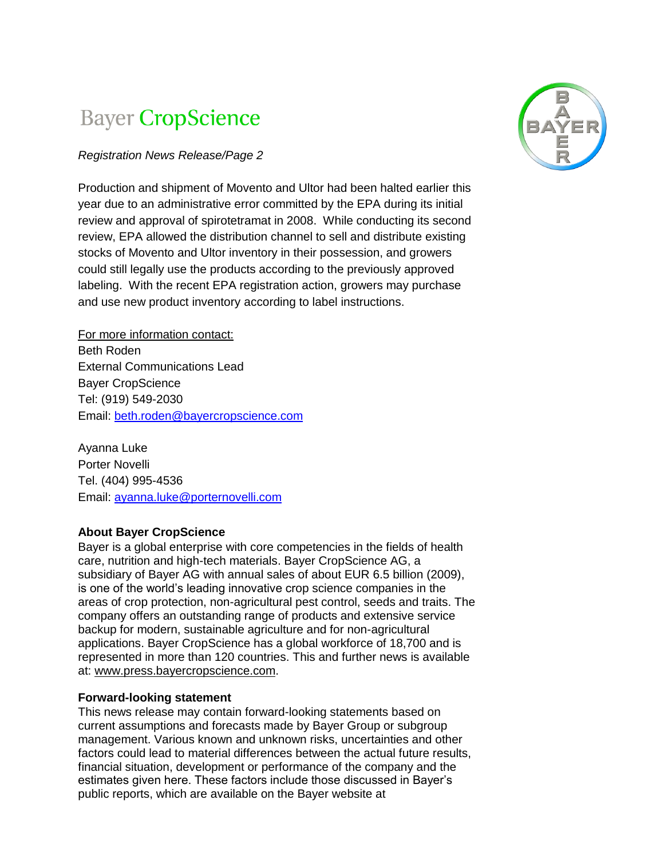# **Bayer CropScience**

# *Registration News Release/Page 2*

Production and shipment of Movento and Ultor had been halted earlier this year due to an administrative error committed by the EPA during its initial review and approval of spirotetramat in 2008. While conducting its second review, EPA allowed the distribution channel to sell and distribute existing stocks of Movento and Ultor inventory in their possession, and growers could still legally use the products according to the previously approved labeling. With the recent EPA registration action, growers may purchase and use new product inventory according to label instructions.

For more information contact: Beth Roden External Communications Lead Bayer CropScience Tel: (919) 549-2030 Email: [beth.roden@bayercropscience.com](mailto:beth.roden@bayercropscience.com)

Ayanna Luke Porter Novelli Tel. (404) 995-4536 Email: [ayanna.luke@porternovelli.com](mailto:ayanna.luke@porternovelli.com)

### **About Bayer CropScience**

Bayer is a global enterprise with core competencies in the fields of health care, nutrition and high-tech materials. Bayer CropScience AG, a subsidiary of Bayer AG with annual sales of about EUR 6.5 billion (2009), is one of the world's leading innovative crop science companies in the areas of crop protection, non-agricultural pest control, seeds and traits. The company offers an outstanding range of products and extensive service backup for modern, sustainable agriculture and for non-agricultural applications. Bayer CropScience has a global workforce of 18,700 and is represented in more than 120 countries. This and further news is available at: www.press.bayercropscience.com.

### **Forward-looking statement**

This news release may contain forward-looking statements based on current assumptions and forecasts made by Bayer Group or subgroup management. Various known and unknown risks, uncertainties and other factors could lead to material differences between the actual future results, financial situation, development or performance of the company and the estimates given here. These factors include those discussed in Bayer's public reports, which are available on the Bayer website at